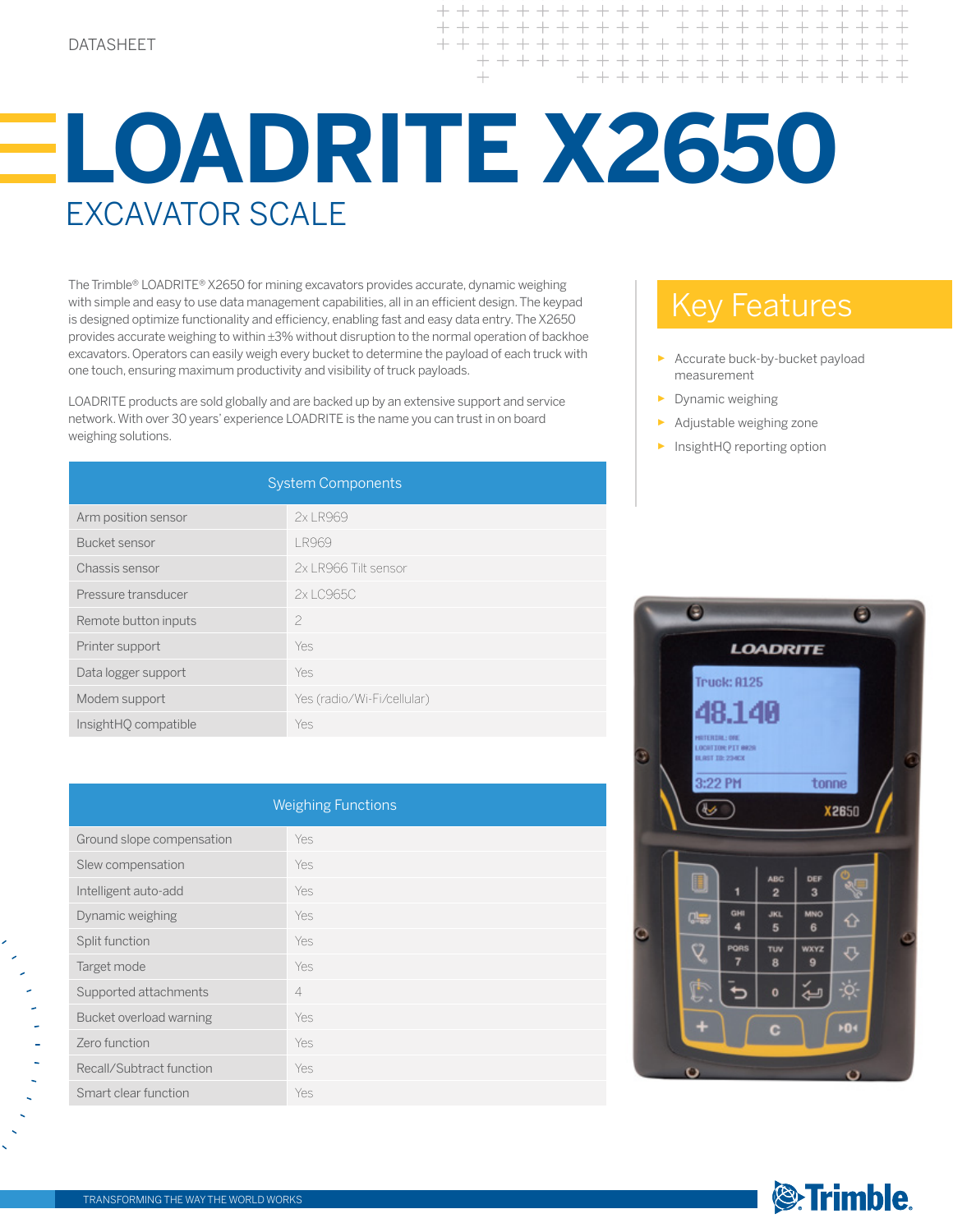$++++$  $+ + +$  $+ + +$  $+ + + + + +$ + + + + + + + + + + + + + +

## **LOADRITE X2650** Excavator SCALE

The Trimble® LOADRITE® X2650 for mining excavators provides accurate, dynamic weighing with simple and easy to use data management capabilities, all in an efficient design. The keypad is designed optimize functionality and efficiency, enabling fast and easy data entry. The X2650 provides accurate weighing to within ±3% without disruption to the normal operation of backhoe excavators. Operators can easily weigh every bucket to determine the payload of each truck with one touch, ensuring maximum productivity and visibility of truck payloads.

LOADRITE products are sold globally and are backed up by an extensive support and service network. With over 30 years' experience LOADRITE is the name you can trust in on board weighing solutions.

| <b>System Components</b> |                            |  |
|--------------------------|----------------------------|--|
| Arm position sensor      | 2x LR969                   |  |
| Bucket sensor            | <b>LR969</b>               |  |
| Chassis sensor           | 2x LR966 Tilt sensor       |  |
| Pressure transducer      | 2x LC965C                  |  |
| Remote button inputs     | $\overline{\phantom{a}}$   |  |
| Printer support          | Yes                        |  |
| Data logger support      | Yes                        |  |
| Modem support            | Yes (radio/Wi-Fi/cellular) |  |
| InsightHO compatible     | Yes                        |  |

| <b>Weighing Functions</b> |                |  |
|---------------------------|----------------|--|
| Ground slope compensation | <b>Yes</b>     |  |
| Slew compensation         | Yes            |  |
| Intelligent auto-add      | Yes            |  |
| Dynamic weighing          | Yes            |  |
| Split function            | Yes            |  |
| Target mode               | Yes            |  |
| Supported attachments     | $\overline{4}$ |  |
| Bucket overload warning   | Yes            |  |
| Zero function             | Yes            |  |
| Recall/Subtract function  | Yes            |  |
| Smart clear function      | Yes            |  |

## Key Features

- Accurate buck-by-bucket payload measurement
- ► Dynamic weighing
- Adjustable weighing zone
- InsightHQ reporting option